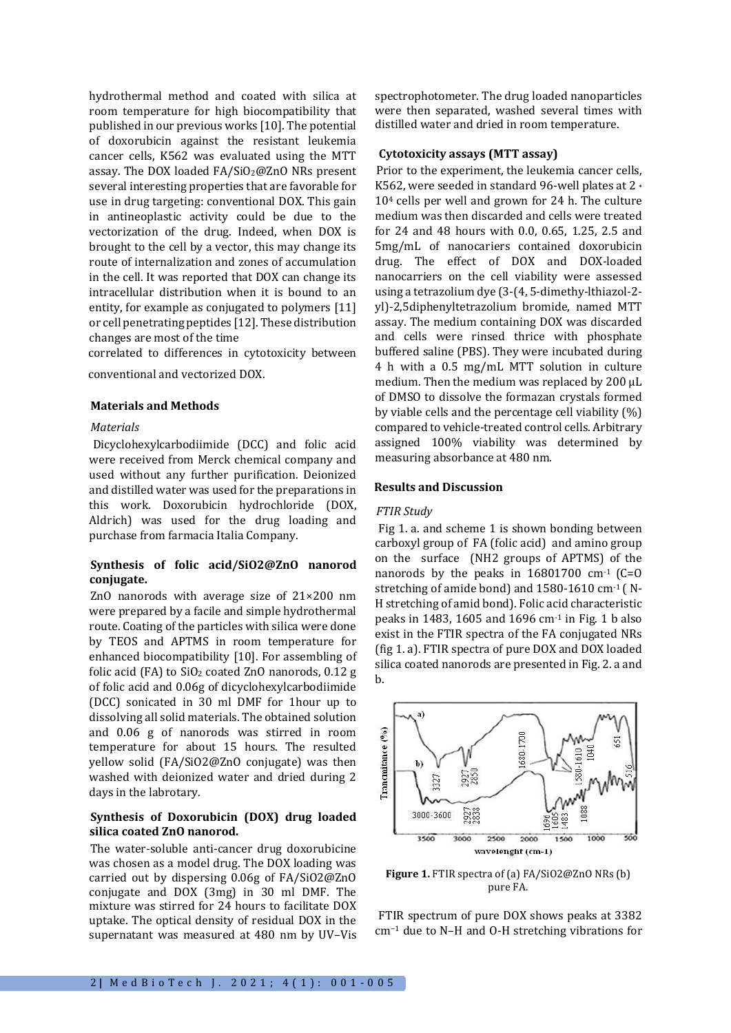hydrothermal method and coated with silica at room temperature for high biocompatibility that published in our previous works [10]. The potential of doxorubicin against the resistant leukemia cancer cells, K562 was evaluated using the MTT assay. The DOX loaded FA/SiO2@ZnO NRs present several interesting properties that are favorable for use in drug targeting: conventional DOX. This gain in antineoplastic activity could be due to the vectorization of the drug. Indeed, when DOX is brought to the cell by a vector, this may change its route of internalization and zones of accumulation in the cell. It was reported that DOX can change its intracellular distribution when it is bound to an entity, for example as conjugated to polymers [11] or cell penetrating peptides [12]. These distribution changes are most of the time

correlated to differences in cytotoxicity between

conventional and vectorized DOX.

### **Materials and Methods**

## *Materials*

Dicyclohexylcarbodiimide (DCC) and folic acid were received from Merck chemical company and used without any further purification. Deionized and distilled water was used for the preparations in this work. Doxorubicin hydrochloride (DOX, Aldrich) was used for the drug loading and purchase from farmacia Italia Company.

# **Synthesis of folic acid/SiO2@ZnO nanorod conjugate.**

ZnO nanorods with average size of 21×200 nm were prepared by a facile and simple hydrothermal route. Coating of the particles with silica were done by TEOS and APTMS in room temperature for enhanced biocompatibility [10]. For assembling of folic acid (FA) to  $SiO<sub>2</sub>$  coated ZnO nanorods, 0.12 g of folic acid and 0.06g of dicyclohexylcarbodiimide (DCC) sonicated in 30 ml DMF for 1hour up to dissolving all solid materials. The obtained solution and 0.06 g of nanorods was stirred in room temperature for about 15 hours. The resulted yellow solid (FA/SiO2@ZnO conjugate) was then washed with deionized water and dried during 2 days in the labrotary.

# **Synthesis of Doxorubicin (DOX) drug loaded silica coated ZnO nanorod.**

The water-soluble anti-cancer drug doxorubicine was chosen as a model drug. The DOX loading was carried out by dispersing 0.06g of FA/SiO2@ZnO conjugate and DOX (3mg) in 30 ml DMF. The mixture was stirred for 24 hours to facilitate DOX uptake. The optical density of residual DOX in the supernatant was measured at 480 nm by UV–Vis spectrophotometer. The drug loaded nanoparticles were then separated, washed several times with distilled water and dried in room temperature.

## **Cytotoxicity assays (MTT assay)**

Prior to the experiment, the leukemia cancer cells, K562, were seeded in standard 96-well plates at 2 \* 10<sup>4</sup> cells per well and grown for 24 h. The culture medium was then discarded and cells were treated for 24 and 48 hours with 0.0, 0.65, 1.25, 2.5 and 5mg/mL of nanocariers contained doxorubicin drug. The effect of DOX and DOX-loaded nanocarriers on the cell viability were assessed using a tetrazolium dye (3-(4, 5-dimethy-lthiazol-2 yl)-2,5diphenyltetrazolium bromide, named MTT assay. The medium containing DOX was discarded and cells were rinsed thrice with phosphate buffered saline (PBS). They were incubated during 4 h with a 0.5 mg/mL MTT solution in culture medium. Then the medium was replaced by 200 µL of DMSO to dissolve the formazan crystals formed by viable cells and the percentage cell viability (%) compared to vehicle-treated control cells. Arbitrary assigned 100% viability was determined by measuring absorbance at 480 nm.

## **Results and Discussion**

#### *FTIR Study*

Fig 1. a. and scheme 1 is shown bonding between carboxyl group of FA (folic acid) and amino group on the surface (NH2 groups of APTMS) of the nanorods by the peaks in  $16801700$  cm<sup>-1</sup> (C=O stretching of amide bond) and 1580-1610 cm-1 ( N-H stretching of amid bond). Folic acid characteristic peaks in 1483, 1605 and 1696 cm-1 in Fig. 1 b also exist in the FTIR spectra of the FA conjugated NRs (fig 1. a). FTIR spectra of pure DOX and DOX loaded silica coated nanorods are presented in Fig. 2. a and b.



**Figure 1.** FTIR spectra of (a) FA/SiO2@ZnO NRs (b) pure FA.

FTIR spectrum of pure DOX shows peaks at 3382 cm−<sup>1</sup> due to N–H and O-H stretching vibrations for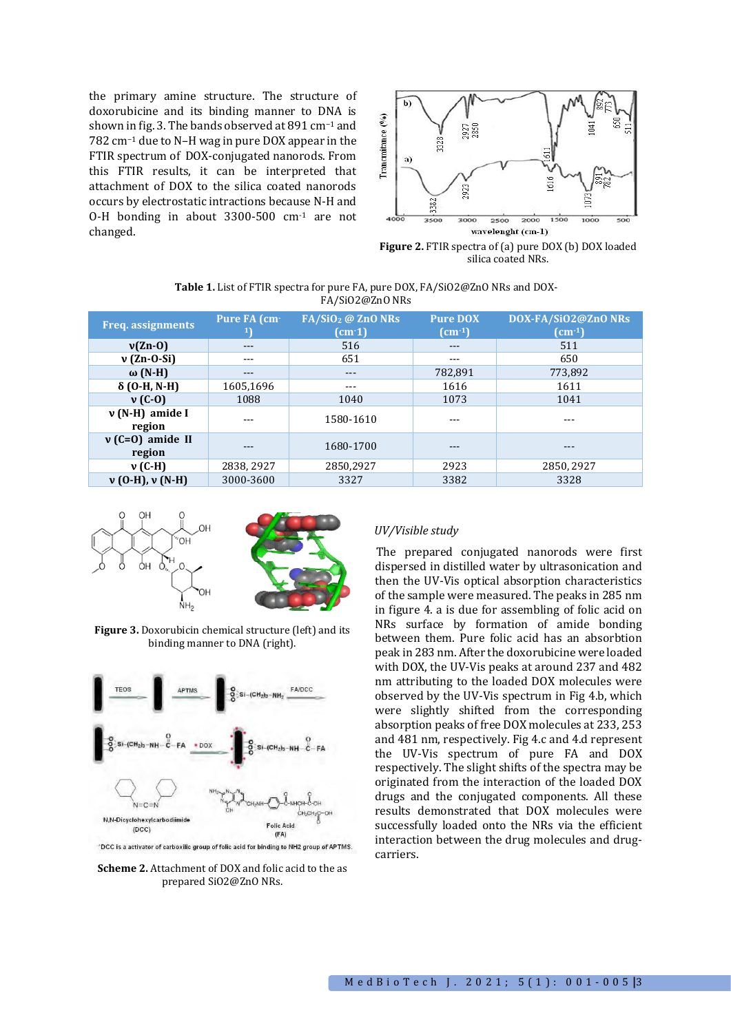the primary amine structure. The structure of doxorubicine and its binding manner to DNA is shown in fig. 3. The bands observed at 891 cm−<sup>1</sup> and 782 cm−<sup>1</sup> due to N–H wag in pure DOX appear in the FTIR spectrum of DOX-conjugated nanorods. From this FTIR results, it can be interpreted that attachment of DOX to the silica coated nanorods occurs by electrostatic intractions because N-H and O-H bonding in about 3300-500 cm-1 are not changed.



**Figure 2.** FTIR spectra of (a) pure DOX (b) DOX loaded silica coated NRs.

| <b>Table 1.</b> List of FTIR spectra for pure FA, pure DOX, FA/SiO2@ZnO NRs and DOX- |  |
|--------------------------------------------------------------------------------------|--|
| FA/Si02@Zn0 NRs                                                                      |  |

| <b>Freq.</b> assignments    | Pure FA (cm <sup>-</sup> | FA/SiO <sub>2</sub> @ ZnO NRs<br>(cm 1) | <b>Pure DOX</b><br>$\text{(cm-1)}$ | DOX-FA/SiO2@ZnO NRs<br>$\text{(cm-1)}$ |  |  |
|-----------------------------|--------------------------|-----------------------------------------|------------------------------------|----------------------------------------|--|--|
| $v(Zn-0)$                   | ---                      | 516                                     | $---$                              | 511                                    |  |  |
| $v$ (Zn-O-Si)               | ---                      | 651                                     | ---                                | 650                                    |  |  |
| ω $(N-H)$                   | ---                      | $--$                                    | 782,891                            | 773,892                                |  |  |
| $\delta$ (O-H, N-H)         | 1605,1696                | ---                                     | 1616                               | 1611                                   |  |  |
| $v(G-0)$                    | 1088                     | 1040                                    | 1073                               | 1041                                   |  |  |
| $v(N-H)$ amide I<br>region  |                          | 1580-1610                               |                                    |                                        |  |  |
| $v(C=0)$ amide II<br>region |                          | 1680-1700                               |                                    |                                        |  |  |
| $v$ (C-H)                   | 2838, 2927               | 2850,2927                               | 2923                               | 2850, 2927                             |  |  |
| $v(0-H), v(N-H)$            | 3000-3600                | 3327                                    | 3382                               | 3328                                   |  |  |



**Figure 3.** Doxorubicin chemical structure (left) and its binding manner to DNA (right).



'DCC is a activator of carboxilic group of folic acid for binding to NH2 group of APTMS.

**Scheme 2.** Attachment of DOX and folic acid to the as prepared SiO2@ZnO NRs.

# *UV/Visible study*

The prepared conjugated nanorods were first dispersed in distilled water by ultrasonication and then the UV-Vis optical absorption characteristics of the sample were measured. The peaks in 285 nm in figure 4. a is due for assembling of folic acid on NRs surface by formation of amide bonding between them. Pure folic acid has an absorbtion peak in 283 nm. After the doxorubicine were loaded with DOX, the UV-Vis peaks at around 237 and 482 nm attributing to the loaded DOX molecules were observed by the UV-Vis spectrum in Fig 4.b, which were slightly shifted from the corresponding absorption peaks of free DOX molecules at 233, 253 and 481 nm, respectively. Fig 4.c and 4.d represent the UV-Vis spectrum of pure FA and DOX respectively. The slight shifts of the spectra may be originated from the interaction of the loaded DOX drugs and the conjugated components. All these results demonstrated that DOX molecules were successfully loaded onto the NRs via the efficient interaction between the drug molecules and drugcarriers.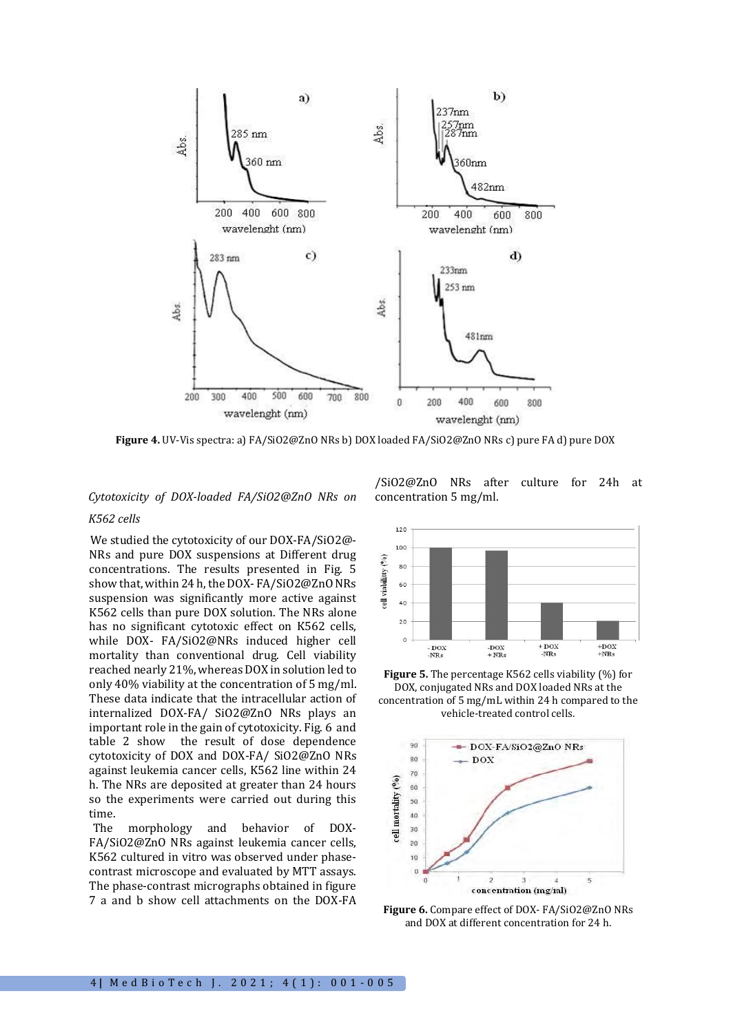

**Figure 4.** UV-Vis spectra: a) FA/SiO2@ZnO NRs b) DOX loaded FA/SiO2@ZnO NRs c) pure FA d) pure DOX

# *Cytotoxicity of DOX-loaded FA/SiO2@ZnO NRs on K562 cells*

We studied the cytotoxicity of our DOX-FA/SiO2@- NRs and pure DOX suspensions at Different drug concentrations. The results presented in Fig. 5 show that, within 24 h, the DOX- FA/SiO2@ZnO NRs suspension was significantly more active against K562 cells than pure DOX solution. The NRs alone has no significant cytotoxic effect on K562 cells, while DOX- FA/SiO2@NRs induced higher cell mortality than conventional drug. Cell viability reached nearly 21%, whereas DOX in solution led to only 40% viability at the concentration of 5 mg/ml. These data indicate that the intracellular action of internalized DOX-FA/ SiO2@ZnO NRs plays an important role in the gain of cytotoxicity. Fig. 6 and table 2 show the result of dose dependence cytotoxicity of DOX and DOX-FA/ SiO2@ZnO NRs against leukemia cancer cells, K562 line within 24 h. The NRs are deposited at greater than 24 hours so the experiments were carried out during this time.

The morphology and behavior of DOX-FA/SiO2@ZnO NRs against leukemia cancer cells, K562 cultured in vitro was observed under phasecontrast microscope and evaluated by MTT assays. The phase-contrast micrographs obtained in figure 7 a and b show cell attachments on the DOX-FA /SiO2@ZnO NRs after culture for 24h at concentration 5 mg/ml.



**Figure 5.** The percentage K562 cells viability (%) for DOX, conjugated NRs and DOX loaded NRs at the concentration of 5 mg/mL within 24 h compared to the vehicle-treated control cells.



**Figure 6.** Compare effect of DOX- FA/SiO2@ZnO NRs and DOX at different concentration for 24 h.